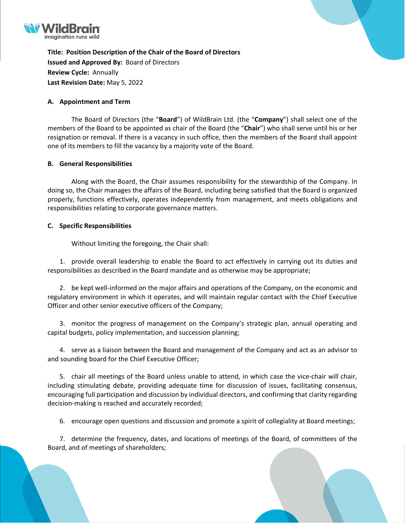

**Title: Position Description of the Chair of the Board of Directors Issued and Approved By:** Board of Directors **Review Cycle:** Annually **Last Revision Date:** May 5, 2022

## **A. Appointment and Term**

The Board of Directors (the "**Board**") of WildBrain Ltd. (the "**Company**") shall select one of the members of the Board to be appointed as chair of the Board (the "**Chair**") who shall serve until his or her resignation or removal. If there is a vacancy in such office, then the members of the Board shall appoint one of its members to fill the vacancy by a majority vote of the Board.

## **B. General Responsibilities**

Along with the Board, the Chair assumes responsibility for the stewardship of the Company. In doing so, the Chair manages the affairs of the Board, including being satisfied that the Board is organized properly, functions effectively, operates independently from management, and meets obligations and responsibilities relating to corporate governance matters.

## **C. Specific Responsibilities**

Without limiting the foregoing, the Chair shall:

1. provide overall leadership to enable the Board to act effectively in carrying out its duties and responsibilities as described in the Board mandate and as otherwise may be appropriate;

2. be kept well-informed on the major affairs and operations of the Company, on the economic and regulatory environment in which it operates, and will maintain regular contact with the Chief Executive Officer and other senior executive officers of the Company;

3. monitor the progress of management on the Company's strategic plan, annual operating and capital budgets, policy implementation, and succession planning;

4. serve as a liaison between the Board and management of the Company and act as an advisor to and sounding board for the Chief Executive Officer;

5. chair all meetings of the Board unless unable to attend, in which case the vice-chair will chair, including stimulating debate, providing adequate time for discussion of issues, facilitating consensus, encouraging full participation and discussion by individual directors, and confirming that clarity regarding decision-making is reached and accurately recorded;

6. encourage open questions and discussion and promote a spirit of collegiality at Board meetings;

7. determine the frequency, dates, and locations of meetings of the Board, of committees of the Board, and of meetings of shareholders;